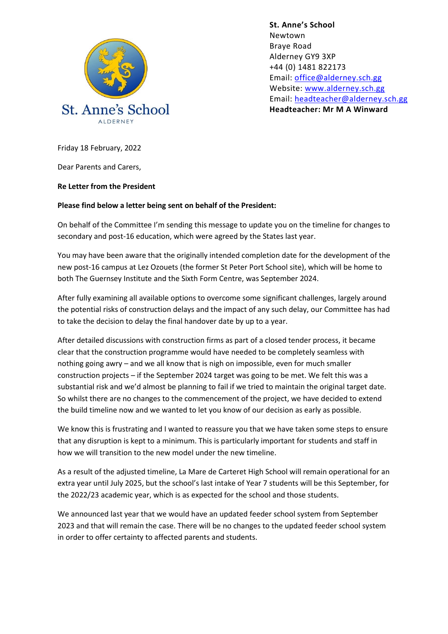

**St. Anne's School**  Newtown Braye Road Alderney GY9 3XP +44 (0) 1481 822173 Email: [office@alderney.sch.gg](mailto:office@alderney.sch.gg) Website: [www.alderney.sch.gg](http://www.alderney.sch.gg/) Email: [headteacher@alderney.sch.gg](mailto:headteacher@alderney.sch.gg) **Headteacher: Mr M A Winward**

Friday 18 February, 2022

Dear Parents and Carers,

**Re Letter from the President**

## **Please find below a letter being sent on behalf of the President:**

On behalf of the Committee I'm sending this message to update you on the timeline for changes to secondary and post-16 education, which were agreed by the States last year.

You may have been aware that the originally intended completion date for the development of the new post-16 campus at Lez Ozouets (the former St Peter Port School site), which will be home to both The Guernsey Institute and the Sixth Form Centre, was September 2024.

After fully examining all available options to overcome some significant challenges, largely around the potential risks of construction delays and the impact of any such delay, our Committee has had to take the decision to delay the final handover date by up to a year.

After detailed discussions with construction firms as part of a closed tender process, it became clear that the construction programme would have needed to be completely seamless with nothing going awry – and we all know that is nigh on impossible, even for much smaller construction projects – if the September 2024 target was going to be met. We felt this was a substantial risk and we'd almost be planning to fail if we tried to maintain the original target date. So whilst there are no changes to the commencement of the project, we have decided to extend the build timeline now and we wanted to let you know of our decision as early as possible.

We know this is frustrating and I wanted to reassure you that we have taken some steps to ensure that any disruption is kept to a minimum. This is particularly important for students and staff in how we will transition to the new model under the new timeline.

As a result of the adjusted timeline, La Mare de Carteret High School will remain operational for an extra year until July 2025, but the school's last intake of Year 7 students will be this September, for the 2022/23 academic year, which is as expected for the school and those students.

We announced last year that we would have an updated feeder school system from September 2023 and that will remain the case. There will be no changes to the updated feeder school system in order to offer certainty to affected parents and students.